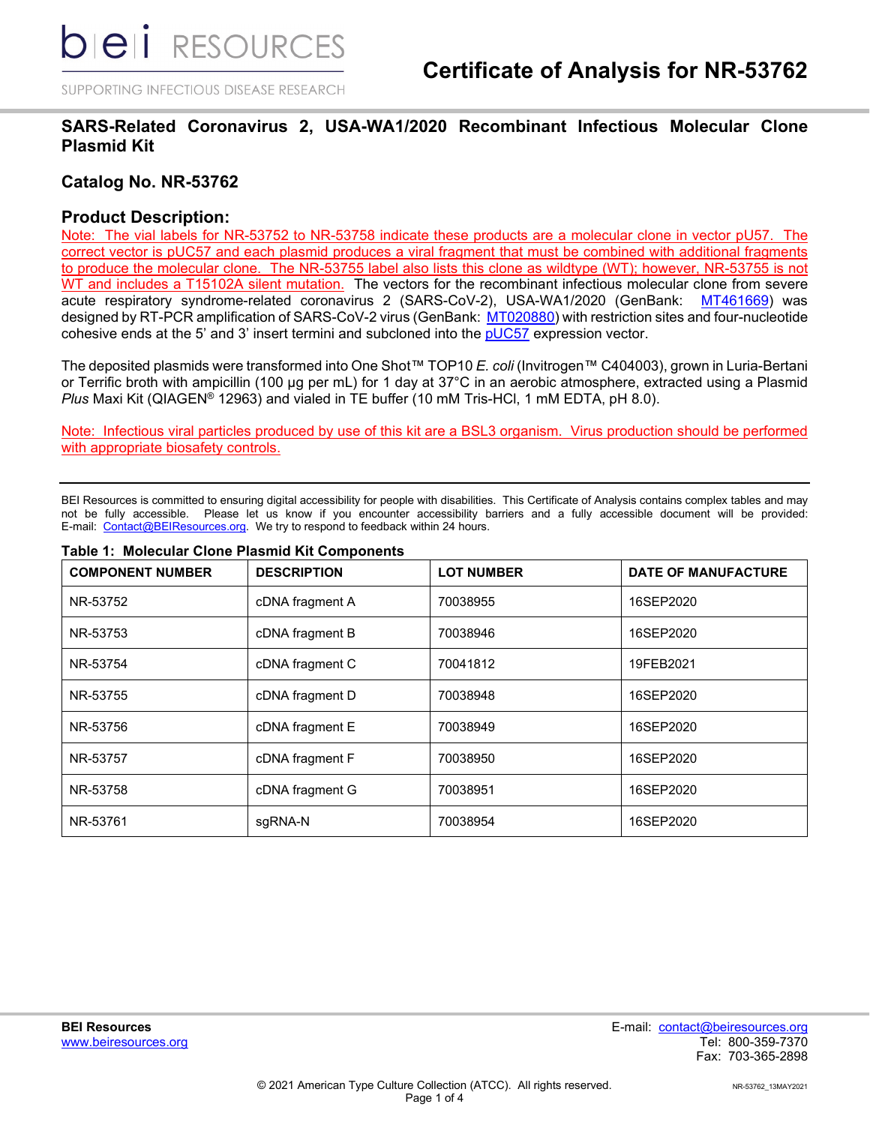SUPPORTING INFECTIOUS DISEASE RESEARCH

## **SARS-Related Coronavirus 2, USA-WA1/2020 Recombinant Infectious Molecular Clone Plasmid Kit**

## **Catalog No. NR-53762**

## **Product Description:**

Note: The vial labels for NR-53752 to NR-53758 indicate these products are a molecular clone in vector pU57. The correct vector is pUC57 and each plasmid produces a viral fragment that must be combined with additional fragments to produce the molecular clone. The NR-53755 label also lists this clone as wildtype (WT); however, NR-53755 is not WT and includes a T15102A silent mutation. The vectors for the recombinant infectious molecular clone from severe acute respiratory syndrome-related coronavirus 2 (SARS-CoV-2), USA-WA1/2020 (GenBank: [MT461669\)](https://www.ncbi.nlm.nih.gov/nuccore/MT461669.1) was designed by RT-PCR amplification of SARS-CoV-2 virus (GenBank: [MT020880\)](https://www.ncbi.nlm.nih.gov/nuccore/MT020880.1) with restriction sites and four-nucleotide cohesive ends at the 5' and 3' insert termini and subcloned into the [pUC57](https://www.addgene.org/vector-database/4509/) expression vector.

The deposited plasmids were transformed into One Shot™ TOP10 *E. coli* (Invitrogen™ C404003), grown in Luria-Bertani or Terrific broth with ampicillin (100 µg per mL) for 1 day at 37°C in an aerobic atmosphere, extracted using a Plasmid *Plus* Maxi Kit (QIAGEN® 12963) and vialed in TE buffer (10 mM Tris-HCl, 1 mM EDTA, pH 8.0).

Note: Infectious viral particles produced by use of this kit are a BSL3 organism. Virus production should be performed with appropriate biosafety controls.

BEI Resources is committed to ensuring digital accessibility for people with disabilities. This Certificate of Analysis contains complex tables and may not be fully accessible. Please let us know if you encounter accessibility barriers and a fully accessible document will be provided: E-mail: [Contact@BEIResources.org.](mailto:Contact@BEIResources.org) We try to respond to feedback within 24 hours.

| <b>COMPONENT NUMBER</b> | <b>DESCRIPTION</b> | <b>LOT NUMBER</b> | <b>DATE OF MANUFACTURE</b> |
|-------------------------|--------------------|-------------------|----------------------------|
| NR-53752                | cDNA fragment A    | 70038955          | 16SEP2020                  |
| NR-53753                | cDNA fragment B    | 70038946          | 16SEP2020                  |
| NR-53754                | cDNA fragment C    | 70041812          | 19FEB2021                  |
| NR-53755                | cDNA fragment D    | 70038948          | 16SEP2020                  |
| NR-53756                | cDNA fragment E    | 70038949          | 16SEP2020                  |
| NR-53757                | cDNA fragment F    | 70038950          | 16SEP2020                  |
| NR-53758                | cDNA fragment G    | 70038951          | 16SEP2020                  |
| NR-53761                | sgRNA-N            | 70038954          | 16SEP2020                  |

#### **Table 1: Molecular Clone Plasmid Kit Components**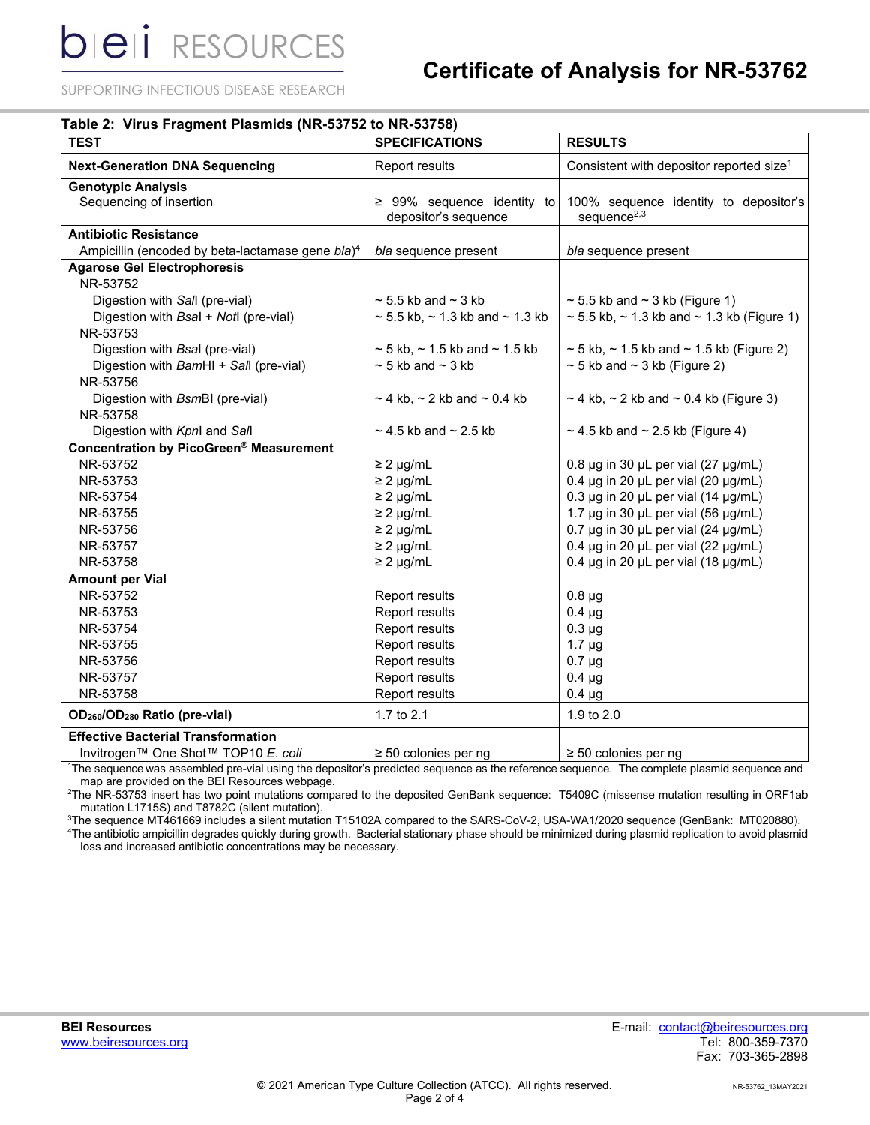**bieli** RESOURCES

## **Certificate of Analysis for NR-53762**

SUPPORTING INFECTIOUS DISEASE RESEARCH

| <b>TEST</b>                                                  | <b>SPECIFICATIONS</b>                                   | <b>RESULTS</b>                                                                                                                                                                      |
|--------------------------------------------------------------|---------------------------------------------------------|-------------------------------------------------------------------------------------------------------------------------------------------------------------------------------------|
| <b>Next-Generation DNA Sequencing</b>                        | <b>Report results</b>                                   | Consistent with depositor reported size <sup>1</sup>                                                                                                                                |
| <b>Genotypic Analysis</b>                                    |                                                         |                                                                                                                                                                                     |
| Sequencing of insertion                                      | $\geq$ 99% sequence identity to<br>depositor's sequence | 100% sequence identity to depositor's<br>sequence $2,3$                                                                                                                             |
| <b>Antibiotic Resistance</b>                                 |                                                         |                                                                                                                                                                                     |
| Ampicillin (encoded by beta-lactamase gene bla) <sup>4</sup> | bla sequence present                                    | bla sequence present                                                                                                                                                                |
| <b>Agarose Gel Electrophoresis</b>                           |                                                         |                                                                                                                                                                                     |
| NR-53752                                                     |                                                         |                                                                                                                                                                                     |
| Digestion with Sall (pre-vial)                               | $\sim$ 5.5 kb and $\sim$ 3 kb                           | $\sim$ 5.5 kb and $\sim$ 3 kb (Figure 1)                                                                                                                                            |
| Digestion with Bsal + Notl (pre-vial)<br>NR-53753            | $\sim$ 5.5 kb, $\sim$ 1.3 kb and $\sim$ 1.3 kb          | $\sim$ 5.5 kb, $\sim$ 1.3 kb and $\sim$ 1.3 kb (Figure 1)                                                                                                                           |
| Digestion with Bsal (pre-vial)                               | $\sim$ 5 kb, $\sim$ 1.5 kb and $\sim$ 1.5 kb            | $\sim$ 5 kb, $\sim$ 1.5 kb and $\sim$ 1.5 kb (Figure 2)                                                                                                                             |
|                                                              | $\sim$ 5 kb and $\sim$ 3 kb                             | $\sim$ 5 kb and $\sim$ 3 kb (Figure 2)                                                                                                                                              |
| Digestion with BamHI + Sall (pre-vial)                       |                                                         |                                                                                                                                                                                     |
| NR-53756                                                     |                                                         |                                                                                                                                                                                     |
| Digestion with BsmBI (pre-vial)<br>NR-53758                  | $\sim$ 4 kb, $\sim$ 2 kb and $\sim$ 0.4 kb              | $\sim$ 4 kb, $\sim$ 2 kb and $\sim$ 0.4 kb (Figure 3)                                                                                                                               |
| Digestion with Kpnl and Sall                                 | $\sim$ 4.5 kb and $\sim$ 2.5 kb                         | $\sim$ 4.5 kb and $\sim$ 2.5 kb (Figure 4)                                                                                                                                          |
| Concentration by PicoGreen® Measurement                      |                                                         |                                                                                                                                                                                     |
| NR-53752                                                     | $\geq$ 2 µg/mL                                          | $0.8 \,\mu$ g in 30 µL per vial (27 µg/mL)                                                                                                                                          |
| NR-53753                                                     | $\geq$ 2 µg/mL                                          | 0.4 $\mu$ g in 20 $\mu$ L per vial (20 $\mu$ g/mL)                                                                                                                                  |
| NR-53754                                                     | $\geq$ 2 µg/mL                                          | 0.3 $\mu$ g in 20 $\mu$ L per vial (14 $\mu$ g/mL)                                                                                                                                  |
| NR-53755                                                     | $\geq$ 2 µg/mL                                          | 1.7 µg in 30 µL per vial (56 µg/mL)                                                                                                                                                 |
| NR-53756                                                     | $\geq$ 2 µg/mL                                          | 0.7 $\mu$ g in 30 $\mu$ L per vial (24 $\mu$ g/mL)                                                                                                                                  |
| NR-53757                                                     | $\geq$ 2 µg/mL                                          | $0.4 \,\mu$ g in 20 $\mu$ L per vial (22 $\mu$ g/mL)                                                                                                                                |
| NR-53758                                                     | $\geq$ 2 µg/mL                                          | 0.4 $\mu$ g in 20 $\mu$ L per vial (18 $\mu$ g/mL)                                                                                                                                  |
| <b>Amount per Vial</b>                                       |                                                         |                                                                                                                                                                                     |
| NR-53752                                                     | Report results                                          | $0.8 \mu g$                                                                                                                                                                         |
| NR-53753                                                     | Report results                                          | $0.4 \mu g$                                                                                                                                                                         |
| NR-53754                                                     | Report results                                          | $0.3 \mu g$                                                                                                                                                                         |
| NR-53755                                                     | Report results                                          | $1.7 \mu g$                                                                                                                                                                         |
| NR-53756                                                     | Report results                                          | $0.7 \mu g$                                                                                                                                                                         |
| NR-53757                                                     | Report results                                          | $0.4 \mu g$                                                                                                                                                                         |
| NR-53758                                                     | Report results                                          | $0.4 \mu g$                                                                                                                                                                         |
| OD <sub>260</sub> /OD <sub>280</sub> Ratio (pre-vial)        | 1.7 to 2.1                                              | 1.9 to 2.0                                                                                                                                                                          |
| <b>Effective Bacterial Transformation</b>                    |                                                         |                                                                                                                                                                                     |
| Invitrogen™ One Shot™ TOP10 E. coli                          | $\geq$ 50 colonies per ng                               | $\geq$ 50 colonies per ng<br><sup>1</sup> The sequence was assembled pro vial using the depositor's prodicted sequence as the reference sequence. The complete plasmid sequence and |

The sequence was assembled pre-vial using the depositor's predicted sequence as the reference sequence. The complete plasmid sequence and map are provided on the BEI Resources webpage.

2 The NR-53753 insert has two point mutations compared to the deposited GenBank sequence: T5409C (missense mutation resulting in ORF1ab mutation L1715S) and T8782C (silent mutation).

3 The sequence MT461669 includes a silent mutation T15102A compared to the SARS-CoV-2, USA-WA1/2020 sequence (GenBank: MT020880).

4 The antibiotic ampicillin degrades quickly during growth. Bacterial stationary phase should be minimized during plasmid replication to avoid plasmid loss and increased antibiotic concentrations may be necessary.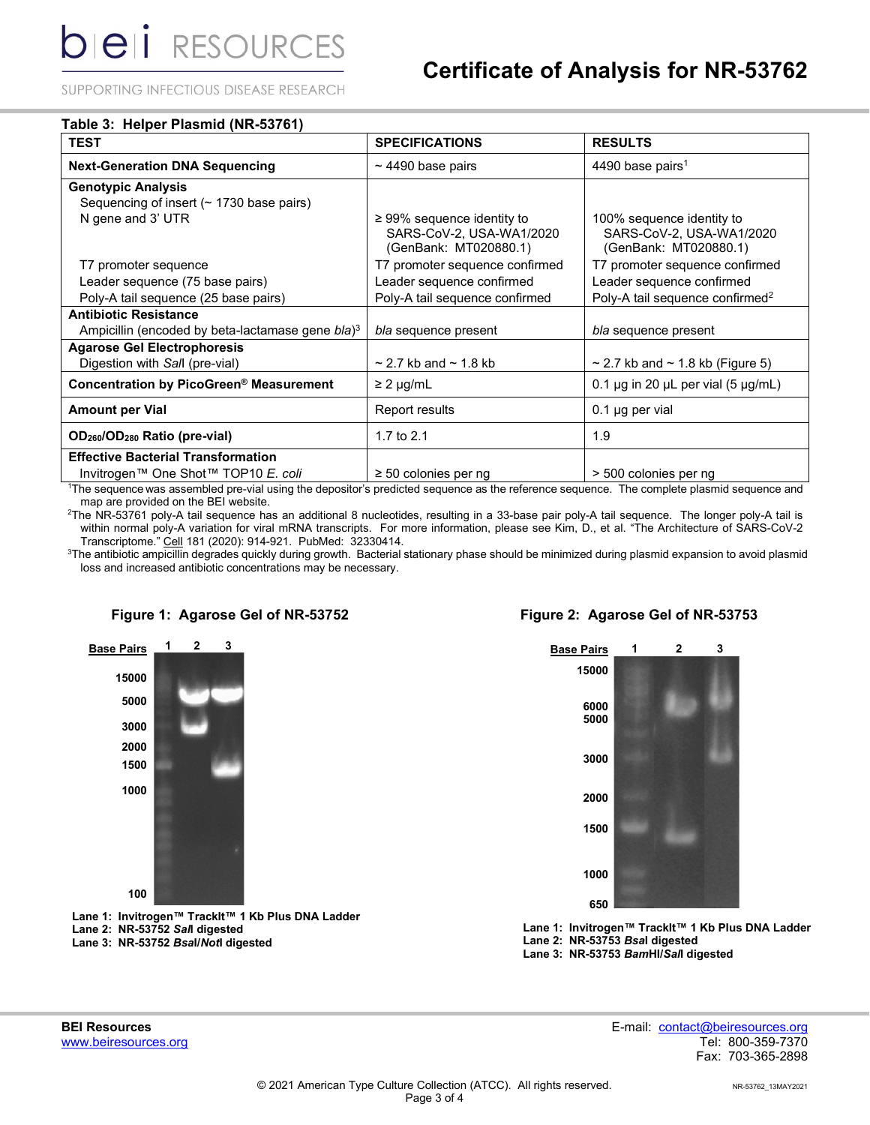SUPPORTING INFECTIOUS DISEASE RESEARCH

| $\sim$ 4490 base pairs                                                               | 4490 base pairs <sup>1</sup>                                                                                                                           |
|--------------------------------------------------------------------------------------|--------------------------------------------------------------------------------------------------------------------------------------------------------|
|                                                                                      |                                                                                                                                                        |
|                                                                                      |                                                                                                                                                        |
|                                                                                      |                                                                                                                                                        |
| $\geq$ 99% sequence identity to<br>SARS-CoV-2, USA-WA1/2020<br>(GenBank: MT020880.1) | 100% sequence identity to<br>SARS-CoV-2, USA-WA1/2020<br>(GenBank: MT020880.1)                                                                         |
| T7 promoter sequence confirmed                                                       | T7 promoter sequence confirmed                                                                                                                         |
| Leader sequence confirmed                                                            | Leader sequence confirmed                                                                                                                              |
| Poly-A tail sequence confirmed                                                       | Poly-A tail sequence confirmed <sup>2</sup>                                                                                                            |
|                                                                                      |                                                                                                                                                        |
| bla sequence present                                                                 | bla sequence present                                                                                                                                   |
|                                                                                      |                                                                                                                                                        |
| $\sim$ 2.7 kb and $\sim$ 1.8 kb                                                      | $\sim$ 2.7 kb and $\sim$ 1.8 kb (Figure 5)                                                                                                             |
| $\geq$ 2 µg/mL                                                                       | 0.1 $\mu$ g in 20 $\mu$ L per vial (5 $\mu$ g/mL)                                                                                                      |
| Report results                                                                       | $0.1$ µg per vial                                                                                                                                      |
| 1.7 to $2.1$                                                                         | 1.9                                                                                                                                                    |
|                                                                                      |                                                                                                                                                        |
| $\geq$ 50 colonies per ng                                                            | > 500 colonies per ng                                                                                                                                  |
|                                                                                      | <sup>1</sup> The sequence was assembled pre-vial using the depositor's predicted sequence as the reference sequence. The complete plasmid sequence and |

The sequence was assembled pre-vial using the depositor's predicted sequence as the reference sequence. The complete plasmid sequence and map are provided on the BEI website.

2 The NR-53761 poly-A tail sequence has an additional 8 nucleotides, resulting in a 33-base pair poly-A tail sequence. The longer poly-A tail is within normal poly-A variation for viral mRNA transcripts. For more information, please see Kim, D., et al. "The Architecture of SARS-CoV-2 Transcriptome." Cell 181 (2020): 914-921. PubMed: 32330414.

 ${}^{3}$ The antibiotic ampicillin degrades quickly during growth. Bacterial stationary phase should be minimized during plasmid expansion to avoid plasmid loss and increased antibiotic concentrations may be necessary.





**Lane 1: Invitrogen™ TrackIt™ 1 Kb Plus DNA Ladder Lane 2: NR-53752** *Sal***I digested Lane 3: NR-53752** *Bsa***I/***Not***I digested**

### **Figure 2: Agarose Gel of NR-53753**



**Lane 1: Invitrogen™ TrackIt™ 1 Kb Plus DNA Ladder Lane 2: NR-53753** *Bsa***I digested Lane 3: NR-53753** *Bam***HI/***Sal***I digested**

**BEI Resources** E-mail: contact@beiresources.org Fax: 703-365-2898